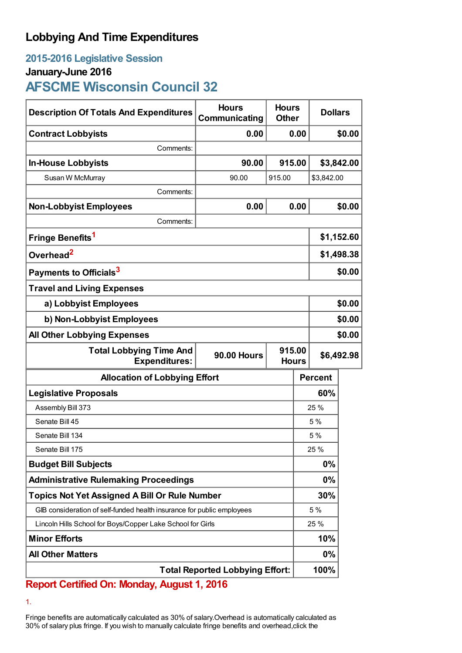## **Lobbying And Time Expenditures**

## **2015-2016 Legislative Session**

#### **January-June 2016**

# **AFSCME Wisconsin Council 32**

| <b>Description Of Totals And Expenditures</b>                                                          | <b>Hours</b><br>Communicating | <b>Hours</b><br><b>Other</b> | <b>Dollars</b> |        |
|--------------------------------------------------------------------------------------------------------|-------------------------------|------------------------------|----------------|--------|
| <b>Contract Lobbyists</b>                                                                              | 0.00                          | 0.00                         |                | \$0.00 |
| Comments:                                                                                              |                               |                              |                |        |
| <b>In-House Lobbyists</b>                                                                              | 90.00                         | 915.00<br>\$3,842.00         |                |        |
| Susan W McMurray                                                                                       | 90.00                         | \$3,842.00<br>915.00         |                |        |
| Comments:                                                                                              |                               |                              |                |        |
| <b>Non-Lobbyist Employees</b>                                                                          | 0.00                          |                              | 0.00<br>\$0.00 |        |
| Comments:                                                                                              |                               |                              |                |        |
| Fringe Benefits <sup>1</sup>                                                                           |                               |                              | \$1,152.60     |        |
| Overhead <sup>2</sup>                                                                                  |                               |                              | \$1,498.38     |        |
| Payments to Officials <sup>3</sup>                                                                     |                               |                              | \$0.00         |        |
| <b>Travel and Living Expenses</b>                                                                      |                               |                              |                |        |
| a) Lobbyist Employees                                                                                  |                               |                              | \$0.00         |        |
| b) Non-Lobbyist Employees                                                                              |                               |                              | \$0.00         |        |
| <b>All Other Lobbying Expenses</b>                                                                     |                               |                              | \$0.00         |        |
| 915.00<br><b>Total Lobbying Time And</b><br><b>90.00 Hours</b><br><b>Expenditures:</b><br><b>Hours</b> |                               |                              | \$6,492.98     |        |
| <b>Allocation of Lobbying Effort</b>                                                                   |                               |                              | <b>Percent</b> |        |
| <b>Legislative Proposals</b>                                                                           |                               |                              | 60%            |        |
| Assembly Bill 373                                                                                      |                               |                              | 25 %           |        |
| Senate Bill 45                                                                                         |                               |                              | 5 %            |        |
| Senate Bill 134                                                                                        |                               |                              | 5 %            |        |
| Senate Bill 175                                                                                        |                               |                              | 25 %           |        |
| <b>Budget Bill Subjects</b>                                                                            |                               |                              | 0%             |        |
| <b>Administrative Rulemaking Proceedings</b>                                                           |                               |                              | 0%             |        |
| <b>Topics Not Yet Assigned A Bill Or Rule Number</b>                                                   |                               |                              | 30%            |        |
| GIB consideration of self-funded health insurance for public employees                                 |                               |                              | 5 %            |        |
| Lincoln Hills School for Boys/Copper Lake School for Girls                                             |                               |                              | 25 %           |        |
| <b>Minor Efforts</b>                                                                                   |                               |                              | 10%            |        |
| <b>All Other Matters</b>                                                                               |                               |                              | 0%             |        |
| <b>Total Reported Lobbying Effort:</b>                                                                 |                               |                              | 100%           |        |

### **Report Certified On: Monday, August 1, 2016**

1.

Fringe benefits are automatically calculated as 30% of salary.Overhead is automatically calculated as 30% of salary plus fringe. If you wish to manually calculate fringe benefits and overhead,click the